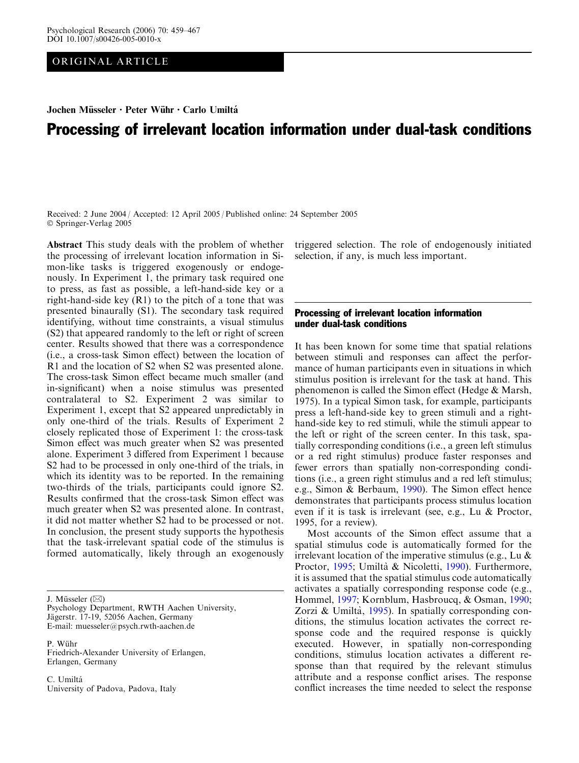ORIGINAL ARTICLE

Jochen Müsseler · Peter Wühr · Carlo Umiltá

# Processing of irrelevant location information under dual-task conditions

Received: 2 June 2004 / Accepted: 12 April 2005 / Published online: 24 September 2005 Springer-Verlag 2005

Abstract This study deals with the problem of whether the processing of irrelevant location information in Simon-like tasks is triggered exogenously or endogenously. In Experiment 1, the primary task required one to press, as fast as possible, a left-hand-side key or a right-hand-side key (R1) to the pitch of a tone that was presented binaurally (S1). The secondary task required identifying, without time constraints, a visual stimulus (S2) that appeared randomly to the left or right of screen center. Results showed that there was a correspondence (i.e., a cross-task Simon effect) between the location of R1 and the location of S2 when S2 was presented alone. The cross-task Simon effect became much smaller (and in-significant) when a noise stimulus was presented contralateral to S2. Experiment 2 was similar to Experiment 1, except that S2 appeared unpredictably in only one-third of the trials. Results of Experiment 2 closely replicated those of Experiment 1: the cross-task Simon effect was much greater when S2 was presented alone. Experiment 3 differed from Experiment 1 because S2 had to be processed in only one-third of the trials, in which its identity was to be reported. In the remaining two-thirds of the trials, participants could ignore S2. Results confirmed that the cross-task Simon effect was much greater when S2 was presented alone. In contrast, it did not matter whether S2 had to be processed or not. In conclusion, the present study supports the hypothesis that the task-irrelevant spatial code of the stimulus is formed automatically, likely through an exogenously

J. Müsseler  $(\boxtimes)$ 

Psychology Department, RWTH Aachen University, Jägerstr. 17-19, 52056 Aachen, Germany E-mail: muesseler@psych.rwth-aachen.de

P. Wühr Friedrich-Alexander University of Erlangen, Erlangen, Germany

C. Umiltá University of Padova, Padova, Italy triggered selection. The role of endogenously initiated selection, if any, is much less important.

# Processing of irrelevant location information under dual-task conditions

It has been known for some time that spatial relations between stimuli and responses can affect the performance of human participants even in situations in which stimulus position is irrelevant for the task at hand. This phenomenon is called the Simon effect (Hedge & Marsh, [1975\)](#page-7-0). In a typical Simon task, for example, participants press a left-hand-side key to green stimuli and a righthand-side key to red stimuli, while the stimuli appear to the left or right of the screen center. In this task, spatially corresponding conditions (i.e., a green left stimulus or a red right stimulus) produce faster responses and fewer errors than spatially non-corresponding conditions (i.e., a green right stimulus and a red left stimulus; e.g., Simon & Berbaum, [1990](#page-8-0)). The Simon effect hence demonstrates that participants process stimulus location even if it is task is irrelevant (see, e.g., Lu & Proctor, [1995,](#page-8-0) for a review).

Most accounts of the Simon effect assume that a spatial stimulus code is automatically formed for the irrelevant location of the imperative stimulus (e.g., Lu & Proctor, [1995;](#page-8-0) Umiltà & Nicoletti, [1990\)](#page-8-0). Furthermore, it is assumed that the spatial stimulus code automatically activates a spatially corresponding response code (e.g., Hommel, [1997;](#page-8-0) Kornblum, Hasbroucq, & Osman, [1990](#page-8-0); Zorzi  $&$  Umiltà, [1995](#page-8-0)). In spatially corresponding conditions, the stimulus location activates the correct response code and the required response is quickly executed. However, in spatially non-corresponding conditions, stimulus location activates a different response than that required by the relevant stimulus attribute and a response conflict arises. The response conflict increases the time needed to select the response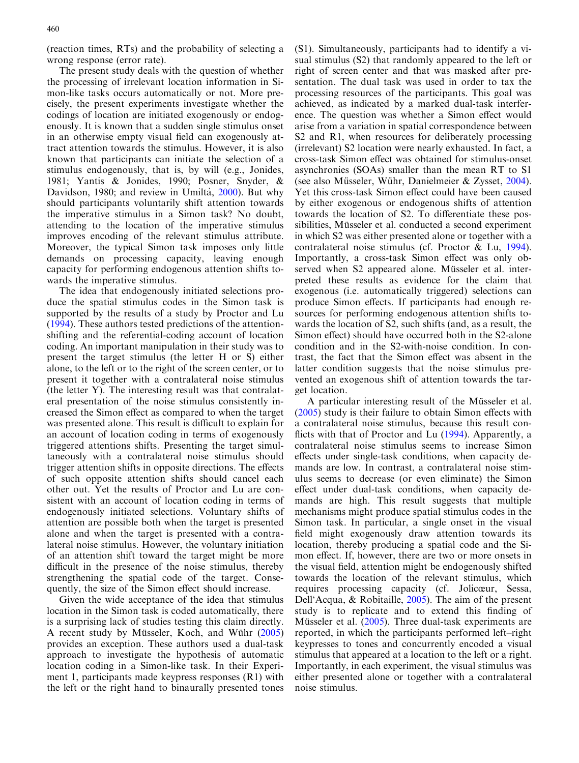The present study deals with the question of whether the processing of irrelevant location information in Simon-like tasks occurs automatically or not. More precisely, the present experiments investigate whether the codings of location are initiated exogenously or endogenously. It is known that a sudden single stimulus onset in an otherwise empty visual field can exogenously attract attention towards the stimulus. However, it is also known that participants can initiate the selection of a stimulus endogenously, that is, by will (e.g., Jonides, [1981](#page-8-0); Yantis & Jonides, 1990; Posner, Snyder, & Davidson, 1980; and review in Umiltà, [2000\)](#page-8-0). But why should participants voluntarily shift attention towards the imperative stimulus in a Simon task? No doubt, attending to the location of the imperative stimulus improves encoding of the relevant stimulus attribute. Moreover, the typical Simon task imposes only little demands on processing capacity, leaving enough capacity for performing endogenous attention shifts towards the imperative stimulus.

The idea that endogenously initiated selections produce the spatial stimulus codes in the Simon task is supported by the results of a study by Proctor and Lu ([1994\)](#page-8-0). These authors tested predictions of the attentionshifting and the referential-coding account of location coding. An important manipulation in their study was to present the target stimulus (the letter H or S) either alone, to the left or to the right of the screen center, or to present it together with a contralateral noise stimulus (the letter Y). The interesting result was that contralateral presentation of the noise stimulus consistently increased the Simon effect as compared to when the target was presented alone. This result is difficult to explain for an account of location coding in terms of exogenously triggered attentions shifts. Presenting the target simultaneously with a contralateral noise stimulus should trigger attention shifts in opposite directions. The effects of such opposite attention shifts should cancel each other out. Yet the results of Proctor and Lu are consistent with an account of location coding in terms of endogenously initiated selections. Voluntary shifts of attention are possible both when the target is presented alone and when the target is presented with a contralateral noise stimulus. However, the voluntary initiation of an attention shift toward the target might be more difficult in the presence of the noise stimulus, thereby strengthening the spatial code of the target. Consequently, the size of the Simon effect should increase.

Given the wide acceptance of the idea that stimulus location in the Simon task is coded automatically, there is a surprising lack of studies testing this claim directly. A recent study by Müsseler, Koch, and Wühr  $(2005)$ provides an exception. These authors used a dual-task approach to investigate the hypothesis of automatic location coding in a Simon-like task. In their Experiment 1, participants made keypress responses (R1) with the left or the right hand to binaurally presented tones

(S1). Simultaneously, participants had to identify a visual stimulus (S2) that randomly appeared to the left or right of screen center and that was masked after presentation. The dual task was used in order to tax the processing resources of the participants. This goal was achieved, as indicated by a marked dual-task interference. The question was whether a Simon effect would arise from a variation in spatial correspondence between S2 and R1, when resources for deliberately processing (irrelevant) S2 location were nearly exhausted. In fact, a cross-task Simon effect was obtained for stimulus-onset asynchronies (SOAs) smaller than the mean RT to S1 (see also Müsseler, Wühr, Danielmeier & Zysset, [2004\)](#page-8-0). Yet this cross-task Simon effect could have been caused by either exogenous or endogenous shifts of attention towards the location of S2. To differentiate these possibilities, Müsseler et al. conducted a second experiment in which S2 was either presented alone or together with a contralateral noise stimulus (cf. Proctor & Lu, [1994\)](#page-8-0). Importantly, a cross-task Simon effect was only observed when S2 appeared alone. Müsseler et al. interpreted these results as evidence for the claim that exogenous (i.e. automatically triggered) selections can produce Simon effects. If participants had enough resources for performing endogenous attention shifts towards the location of S2, such shifts (and, as a result, the Simon effect) should have occurred both in the S2-alone condition and in the S2-with-noise condition. In contrast, the fact that the Simon effect was absent in the latter condition suggests that the noise stimulus prevented an exogenous shift of attention towards the target location.

A particular interesting result of the Müsseler et al. ([2005](#page-8-0)) study is their failure to obtain Simon effects with a contralateral noise stimulus, because this result con-flicts with that of Proctor and Lu ([1994](#page-8-0)). Apparently, a contralateral noise stimulus seems to increase Simon effects under single-task conditions, when capacity demands are low. In contrast, a contralateral noise stimulus seems to decrease (or even eliminate) the Simon effect under dual-task conditions, when capacity demands are high. This result suggests that multiple mechanisms might produce spatial stimulus codes in the Simon task. In particular, a single onset in the visual field might exogenously draw attention towards its location, thereby producing a spatial code and the Simon effect. If, however, there are two or more onsets in the visual field, attention might be endogenously shifted towards the location of the relevant stimulus, which requires processing capacity (cf. Jolicœur, Sessa, Dell'Acqua, & Robitaille, [2005\)](#page-8-0). The aim of the present study is to replicate and to extend this finding of Müsseler et al.  $(2005)$  $(2005)$  $(2005)$ . Three dual-task experiments are reported, in which the participants performed left–right keypresses to tones and concurrently encoded a visual stimulus that appeared at a location to the left or a right. Importantly, in each experiment, the visual stimulus was either presented alone or together with a contralateral noise stimulus.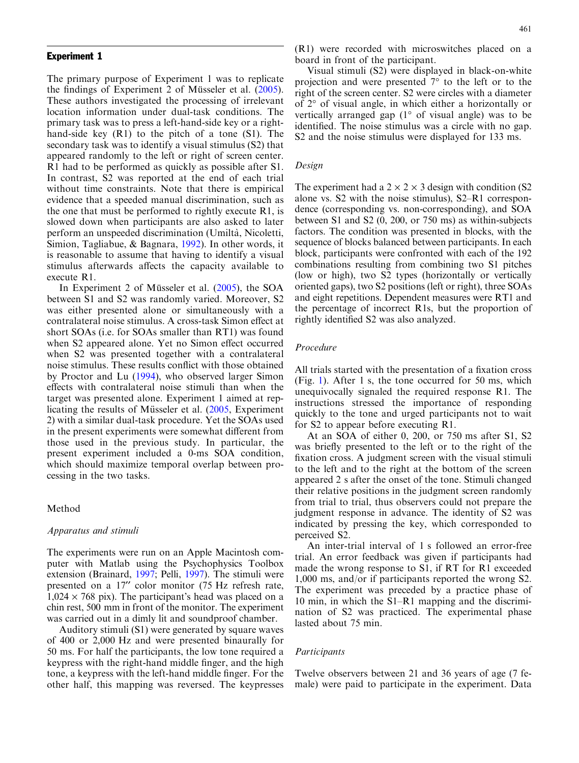#### Experiment 1

The primary purpose of Experiment 1 was to replicate the findings of Experiment 2 of Müsseler et al.  $(2005)$  $(2005)$ . These authors investigated the processing of irrelevant location information under dual-task conditions. The primary task was to press a left-hand-side key or a righthand-side key (R1) to the pitch of a tone (S1). The secondary task was to identify a visual stimulus (S2) that appeared randomly to the left or right of screen center. R1 had to be performed as quickly as possible after S1. In contrast, S2 was reported at the end of each trial without time constraints. Note that there is empirical evidence that a speeded manual discrimination, such as the one that must be performed to rightly execute R1, is slowed down when participants are also asked to later perform an unspeeded discrimination (Umilta`, Nicoletti, Simion, Tagliabue, & Bagnara, [1992\)](#page-8-0). In other words, it is reasonable to assume that having to identify a visual stimulus afterwards affects the capacity available to execute R1.

In Experiment 2 of Müsseler et al.  $(2005)$  $(2005)$  $(2005)$ , the SOA between S1 and S2 was randomly varied. Moreover, S2 was either presented alone or simultaneously with a contralateral noise stimulus. A cross-task Simon effect at short SOAs (i.e. for SOAs smaller than RT1) was found when S2 appeared alone. Yet no Simon effect occurred when S2 was presented together with a contralateral noise stimulus. These results conflict with those obtained by Proctor and Lu ([1994\)](#page-8-0), who observed larger Simon effects with contralateral noise stimuli than when the target was presented alone. Experiment 1 aimed at replicating the results of Müsseler et al.  $(2005,$  $(2005,$  Experiment 2) with a similar dual-task procedure. Yet the SOAs used in the present experiments were somewhat different from those used in the previous study. In particular, the present experiment included a 0-ms SOA condition, which should maximize temporal overlap between processing in the two tasks.

#### Method

#### Apparatus and stimuli

The experiments were run on an Apple Macintosh computer with Matlab using the Psychophysics Toolbox extension (Brainard, [1997](#page-7-0); Pelli, [1997\)](#page-8-0). The stimuli were presented on a 17" color monitor (75 Hz refresh rate,  $1,024 \times 768$  pix). The participant's head was placed on a chin rest, 500 mm in front of the monitor. The experiment was carried out in a dimly lit and soundproof chamber.

Auditory stimuli (S1) were generated by square waves of 400 or 2,000 Hz and were presented binaurally for 50 ms. For half the participants, the low tone required a keypress with the right-hand middle finger, and the high tone, a keypress with the left-hand middle finger. For the other half, this mapping was reversed. The keypresses (R1) were recorded with microswitches placed on a board in front of the participant.

Visual stimuli (S2) were displayed in black-on-white projection and were presented  $7^{\circ}$  to the left or to the right of the screen center. S2 were circles with a diameter of  $2^{\circ}$  of visual angle, in which either a horizontally or vertically arranged gap  $(1^{\circ}$  of visual angle) was to be identified. The noise stimulus was a circle with no gap. S2 and the noise stimulus were displayed for 133 ms.

## Design

The experiment had a  $2 \times 2 \times 3$  design with condition (S2) alone vs. S2 with the noise stimulus), S2–R1 correspondence (corresponding vs. non-corresponding), and SOA between S1 and S2 (0, 200, or 750 ms) as within-subjects factors. The condition was presented in blocks, with the sequence of blocks balanced between participants. In each block, participants were confronted with each of the 192 combinations resulting from combining two S1 pitches (low or high), two S2 types (horizontally or vertically oriented gaps), two S2 positions (left or right), three SOAs and eight repetitions. Dependent measures were RT1 and the percentage of incorrect R1s, but the proportion of rightly identified S2 was also analyzed.

### Procedure

All trials started with the presentation of a fixation cross (Fig. [1\). After 1 s, the tone occurred for 50 ms, which](#page-3-0) [unequivocally signaled the required response R1. The](#page-3-0) [instructions stressed the importance of responding](#page-3-0) [quickly to the tone and urged participants not to wait](#page-3-0) [for S2 to appear before executing R1.](#page-3-0)

At an SOA of either 0, 200, or 750 ms after S1, S2 was briefly presented to the left or to the right of the fixation cross. A judgment screen with the visual stimuli to the left and to the right at the bottom of the screen appeared 2 s after the onset of the tone. Stimuli changed their relative positions in the judgment screen randomly from trial to trial, thus observers could not prepare the judgment response in advance. The identity of S2 was indicated by pressing the key, which corresponded to perceived S2.

An inter-trial interval of 1 s followed an error-free trial. An error feedback was given if participants had made the wrong response to S1, if RT for R1 exceeded 1,000 ms, and/or if participants reported the wrong S2. The experiment was preceded by a practice phase of 10 min, in which the S1–R1 mapping and the discrimination of S2 was practiced. The experimental phase lasted about 75 min.

#### Participants

Twelve observers between 21 and 36 years of age (7 female) were paid to participate in the experiment. Data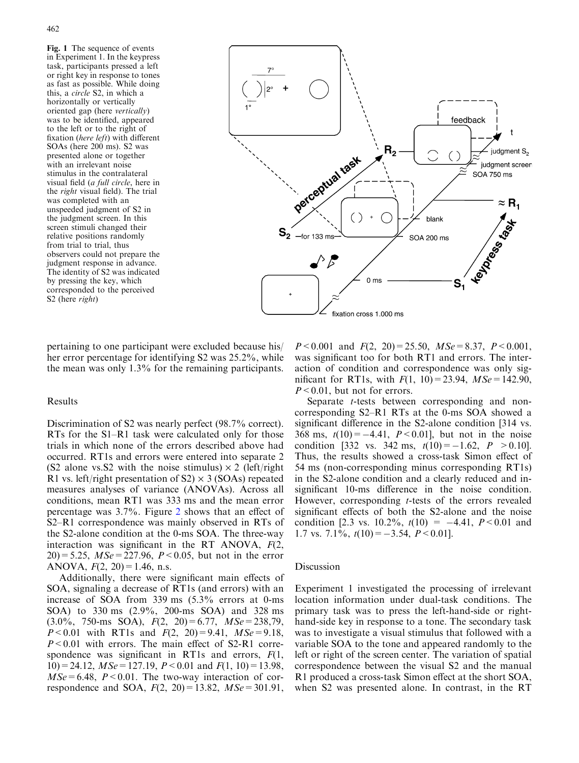<span id="page-3-0"></span>Fig. 1 The sequence of events in Experiment 1. In the keypress task, participants pressed a left or right key in response to tones as fast as possible. While doing this, a circle S2, in which a horizontally or vertically oriented gap (here vertically) was to be identified, appeared to the left or to the right of fixation (here left) with different SOAs (here 200 ms). S2 was presented alone or together with an irrelevant noise stimulus in the contralateral visual field (a full circle, here in the right visual field). The trial was completed with an unspeeded judgment of S2 in the judgment screen. In this screen stimuli changed their relative positions randomly from trial to trial, thus observers could not prepare the judgment response in advance. The identity of S2 was indicated by pressing the key, which corresponded to the perceived S2 (here right)



pertaining to one participant were excluded because his/ her error percentage for identifying S2 was 25.2%, while the mean was only 1.3% for the remaining participants.

## Results

Discrimination of S2 was nearly perfect (98.7% correct). RTs for the S1–R1 task were calculated only for those trials in which none of the errors described above had occurred. RT1s and errors were entered into separate 2 (S2 alone vs.S2 with the noise stimulus)  $\times$  2 (left/right R1 vs. left/right presentation of  $S2 \times 3$  (SOAs) repeated measures analyses of variance (ANOVAs). Across all conditions, mean RT1 was 333 ms and the mean error percentage was 3.7%. Figure 2 [shows that an effect of](#page-4-0) [S2–R1 correspondence was mainly observed in RTs of](#page-4-0) [the S2-alone condition at the 0-ms SOA. The three-way](#page-4-0) [interaction was significant in the RT ANOVA,](#page-4-0)  $F(2)$ ,  $20$ ) = 5.25,  $MSe = 227.96$ ,  $P < 0.05$ , but not in the error ANOVA,  $F(2, 20) = 1.46$ , n.s.

Additionally, there were significant main effects of SOA, signaling a decrease of RT1s (and errors) with an increase of SOA from 339 ms (5.3% errors at 0-ms SOA) to 330 ms (2.9%, 200-ms SOA) and 328 ms  $(3.0\%, 750\text{-ms SOA}), F(2, 20)=6.77, MSe=238,79,$  $P < 0.01$  with RT1s and  $F(2, 20) = 9.41$ ,  $MSe = 9.18$ ,  $P < 0.01$  with errors. The main effect of S2-R1 correspondence was significant in RT1s and errors,  $F(1,$  $10$ ) = 24.12,  $MSe = 127.19$ ,  $P < 0.01$  and  $F(1, 10) = 13.98$ ,  $MSe = 6.48$ ,  $P < 0.01$ . The two-way interaction of correspondence and SOA,  $F(2, 20) = 13.82$ ,  $MSe = 301.91$ ,

 $P < 0.001$  and  $F(2, 20) = 25.50$ ,  $MSe = 8.37$ ,  $P < 0.001$ , was significant too for both RT1 and errors. The interaction of condition and correspondence was only significant for RT1s, with  $F(1, 10) = 23.94$ ,  $MSe = 142.90$ ,  $P < 0.01$ , but not for errors.

Separate *t*-tests between corresponding and noncorresponding S2–R1 RTs at the 0-ms SOA showed a significant difference in the S2-alone condition [314 vs. 368 ms,  $t(10) = -4.41$ ,  $P < 0.01$ , but not in the noise condition [332 vs. 342 ms,  $t(10) = -1.62$ ,  $P > 0.10$ ]. Thus, the results showed a cross-task Simon effect of 54 ms (non-corresponding minus corresponding RT1s) in the S2-alone condition and a clearly reduced and insignificant 10-ms difference in the noise condition. However, corresponding t-tests of the errors revealed significant effects of both the S2-alone and the noise condition [2.3 vs. 10.2%,  $t(10) = -4.41$ ,  $P < 0.01$  and 1.7 vs. 7.1%,  $t(10) = -3.54$ ,  $P < 0.01$ .

#### Discussion

Experiment 1 investigated the processing of irrelevant location information under dual-task conditions. The primary task was to press the left-hand-side or righthand-side key in response to a tone. The secondary task was to investigate a visual stimulus that followed with a variable SOA to the tone and appeared randomly to the left or right of the screen center. The variation of spatial correspondence between the visual S2 and the manual R1 produced a cross-task Simon effect at the short SOA, when S2 was presented alone. In contrast, in the RT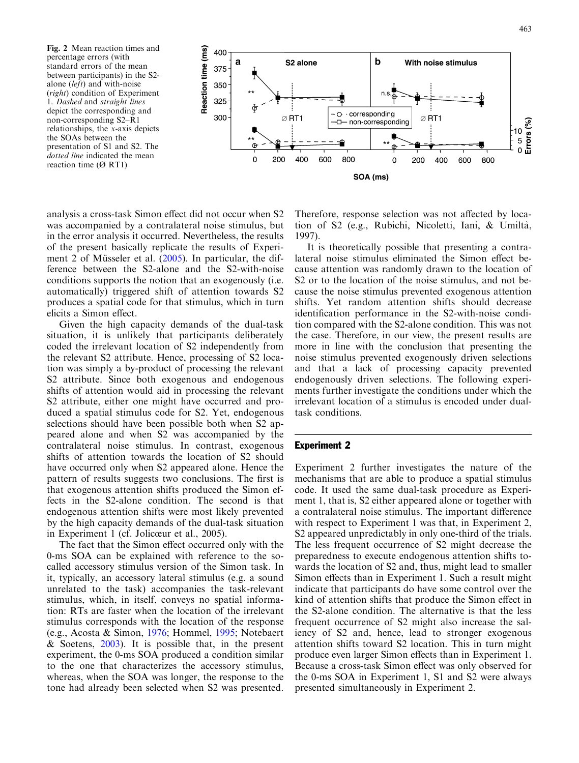<span id="page-4-0"></span>Fig. 2 Mean reaction times and percentage errors (with standard errors of the mean between participants) in the S2 alone (left) and with-noise (right) condition of Experiment 1. Dashed and straight lines depict the corresponding and non-corresponding S2–R1 relationships, the x-axis depicts the SOAs between the presentation of S1 and S2. The dotted line indicated the mean reaction time (Ø RT1)



analysis a cross-task Simon effect did not occur when S2 was accompanied by a contralateral noise stimulus, but in the error analysis it occurred. Nevertheless, the results of the present basically replicate the results of Experiment 2 of Müsseler et al.  $(2005)$  $(2005)$ . In particular, the difference between the S2-alone and the S2-with-noise conditions supports the notion that an exogenously (i.e. automatically) triggered shift of attention towards S2 produces a spatial code for that stimulus, which in turn elicits a Simon effect.

Given the high capacity demands of the dual-task situation, it is unlikely that participants deliberately coded the irrelevant location of S2 independently from the relevant S2 attribute. Hence, processing of S2 location was simply a by-product of processing the relevant S2 attribute. Since both exogenous and endogenous shifts of attention would aid in processing the relevant S2 attribute, either one might have occurred and produced a spatial stimulus code for S2. Yet, endogenous selections should have been possible both when S2 appeared alone and when S2 was accompanied by the contralateral noise stimulus. In contrast, exogenous shifts of attention towards the location of S2 should have occurred only when S2 appeared alone. Hence the pattern of results suggests two conclusions. The first is that exogenous attention shifts produced the Simon effects in the S2-alone condition. The second is that endogenous attention shifts were most likely prevented by the high capacity demands of the dual-task situation in Experiment 1 (cf. Jolicœur et al., 2005).

The fact that the Simon effect occurred only with the 0-ms SOA can be explained with reference to the socalled accessory stimulus version of the Simon task. In it, typically, an accessory lateral stimulus (e.g. a sound unrelated to the task) accompanies the task-relevant stimulus, which, in itself, conveys no spatial information: RTs are faster when the location of the irrelevant stimulus corresponds with the location of the response (e.g., Acosta & Simon, [1976](#page-7-0); Hommel, [1995;](#page-8-0) Notebaert & Soetens, [2003\)](#page-8-0). It is possible that, in the present experiment, the 0-ms SOA produced a condition similar to the one that characterizes the accessory stimulus, whereas, when the SOA was longer, the response to the tone had already been selected when S2 was presented.

Therefore, response selection was not affected by location of S2 (e.g., Rubichi, Nicoletti, Iani, & Umilta`, [1997\)](#page-8-0).

It is theoretically possible that presenting a contralateral noise stimulus eliminated the Simon effect because attention was randomly drawn to the location of S2 or to the location of the noise stimulus, and not because the noise stimulus prevented exogenous attention shifts. Yet random attention shifts should decrease identification performance in the S2-with-noise condition compared with the S2-alone condition. This was not the case. Therefore, in our view, the present results are more in line with the conclusion that presenting the noise stimulus prevented exogenously driven selections and that a lack of processing capacity prevented endogenously driven selections. The following experiments further investigate the conditions under which the irrelevant location of a stimulus is encoded under dualtask conditions.

# Experiment 2

Experiment 2 further investigates the nature of the mechanisms that are able to produce a spatial stimulus code. It used the same dual-task procedure as Experiment 1, that is, S2 either appeared alone or together with a contralateral noise stimulus. The important difference with respect to Experiment 1 was that, in Experiment 2, S2 appeared unpredictably in only one-third of the trials. The less frequent occurrence of S2 might decrease the preparedness to execute endogenous attention shifts towards the location of S2 and, thus, might lead to smaller Simon effects than in Experiment 1. Such a result might indicate that participants do have some control over the kind of attention shifts that produce the Simon effect in the S2-alone condition. The alternative is that the less frequent occurrence of S2 might also increase the saliency of S2 and, hence, lead to stronger exogenous attention shifts toward S2 location. This in turn might produce even larger Simon effects than in Experiment 1. Because a cross-task Simon effect was only observed for the 0-ms SOA in Experiment 1, S1 and S2 were always presented simultaneously in Experiment 2.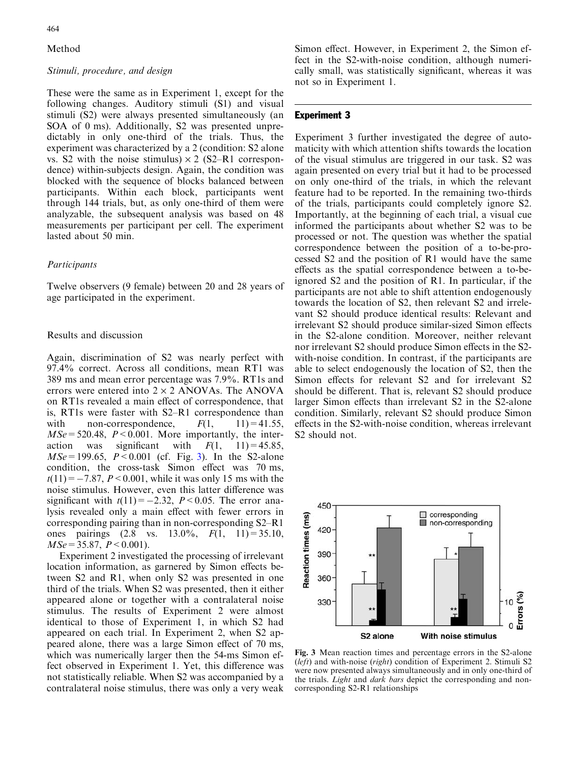## Method

## Stimuli, procedure, and design

These were the same as in Experiment 1, except for the following changes. Auditory stimuli (S1) and visual stimuli (S2) were always presented simultaneously (an SOA of 0 ms). Additionally, S2 was presented unpredictably in only one-third of the trials. Thus, the experiment was characterized by a 2 (condition: S2 alone vs. S2 with the noise stimulus)  $\times$  2 (S2–R1 correspondence) within-subjects design. Again, the condition was blocked with the sequence of blocks balanced between participants. Within each block, participants went through 144 trials, but, as only one-third of them were analyzable, the subsequent analysis was based on 48 measurements per participant per cell. The experiment lasted about 50 min.

# Participants

Twelve observers (9 female) between 20 and 28 years of age participated in the experiment.

## Results and discussion

Again, discrimination of S2 was nearly perfect with 97.4% correct. Across all conditions, mean RT1 was 389 ms and mean error percentage was 7.9%. RT1s and errors were entered into  $2 \times 2$  ANOVAs. The ANOVA on RT1s revealed a main effect of correspondence, that is, RT1s were faster with S2–R1 correspondence than with non-correspondence,  $F(1, 11)=41.55$ ,  $MSe$  = 520.48, P < 0.001. More importantly, the inter-<br>action was significant with  $F(1, 11)$  = 45.85. action was significant with  $F(1, 1)$  $MSe=199.65$ ,  $P < 0.001$  (cf. Fig. 3). In the S2-alone condition, the cross-task Simon effect was 70 ms,  $t(11) = -7.87$ ,  $P < 0.001$ , while it was only 15 ms with the noise stimulus. However, even this latter difference was significant with  $t(11) = -2.32$ ,  $P < 0.05$ . The error analysis revealed only a main effect with fewer errors in corresponding pairing than in non-corresponding S2–R1 ones pairings (2.8 vs. 13.0%, F(1, 11)=35.10,  $MSe$  = 35.87,  $P$  < 0.001).

Experiment 2 investigated the processing of irrelevant location information, as garnered by Simon effects between S2 and R1, when only S2 was presented in one third of the trials. When S2 was presented, then it either appeared alone or together with a contralateral noise stimulus. The results of Experiment 2 were almost identical to those of Experiment 1, in which S2 had appeared on each trial. In Experiment 2, when S2 appeared alone, there was a large Simon effect of 70 ms, which was numerically larger then the 54-ms Simon effect observed in Experiment 1. Yet, this difference was not statistically reliable. When S2 was accompanied by a contralateral noise stimulus, there was only a very weak

Simon effect. However, in Experiment 2, the Simon effect in the S2-with-noise condition, although numerically small, was statistically significant, whereas it was not so in Experiment 1.

# Experiment 3

Experiment 3 further investigated the degree of automaticity with which attention shifts towards the location of the visual stimulus are triggered in our task. S2 was again presented on every trial but it had to be processed on only one-third of the trials, in which the relevant feature had to be reported. In the remaining two-thirds of the trials, participants could completely ignore S2. Importantly, at the beginning of each trial, a visual cue informed the participants about whether S2 was to be processed or not. The question was whether the spatial correspondence between the position of a to-be-processed S2 and the position of R1 would have the same effects as the spatial correspondence between a to-beignored S2 and the position of R1. In particular, if the participants are not able to shift attention endogenously towards the location of S2, then relevant S2 and irrelevant S2 should produce identical results: Relevant and irrelevant S2 should produce similar-sized Simon effects in the S2-alone condition. Moreover, neither relevant nor irrelevant S2 should produce Simon effects in the S2 with-noise condition. In contrast, if the participants are able to select endogenously the location of S2, then the Simon effects for relevant S2 and for irrelevant S2 should be different. That is, relevant S2 should produce larger Simon effects than irrelevant S2 in the S2-alone condition. Similarly, relevant S2 should produce Simon effects in the S2-with-noise condition, whereas irrelevant S2 should not.



Fig. 3 Mean reaction times and percentage errors in the S2-alone (*left*) and with-noise (*right*) condition of Experiment 2. Stimuli S2 were now presented always simultaneously and in only one-third of the trials. Light and dark bars depict the corresponding and noncorresponding S2-R1 relationships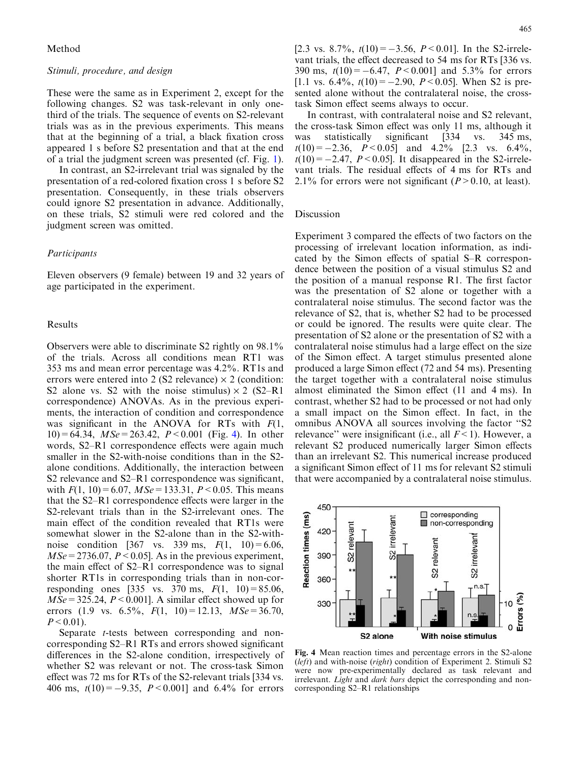# Method

## Stimuli, procedure, and design

These were the same as in Experiment 2, except for the following changes. S2 was task-relevant in only onethird of the trials. The sequence of events on S2-relevant trials was as in the previous experiments. This means that at the beginning of a trial, a black fixation cross appeared 1 s before S2 presentation and that at the end of a trial the judgment screen was presented (cf. Fig. [1\).](#page-3-0)

In contrast, an S2-irrelevant trial was signaled by the presentation of a red-colored fixation cross 1 s before S2 presentation. Consequently, in these trials observers could ignore S2 presentation in advance. Additionally, on these trials, S2 stimuli were red colored and the judgment screen was omitted.

#### Participants

Eleven observers (9 female) between 19 and 32 years of age participated in the experiment.

#### Results

Observers were able to discriminate S2 rightly on 98.1% of the trials. Across all conditions mean RT1 was 353 ms and mean error percentage was 4.2%. RT1s and errors were entered into 2 (S2 relevance)  $\times$  2 (condition: S2 alone vs. S2 with the noise stimulus)  $\times$  2 (S2–R1 correspondence) ANOVAs. As in the previous experiments, the interaction of condition and correspondence was significant in the ANOVA for RTs with  $F(1,$  $10$ ) = 64.34,  $MSe = 263.42$ ,  $P < 0.001$  (Fig. 4). In other words, S2–R1 correspondence effects were again much smaller in the S2-with-noise conditions than in the S2 alone conditions. Additionally, the interaction between S2 relevance and S2–R1 correspondence was significant, with  $F(1, 10) = 6.07$ ,  $MSe = 133.31$ ,  $P < 0.05$ . This means that the S2–R1 correspondence effects were larger in the S2-relevant trials than in the S2-irrelevant ones. The main effect of the condition revealed that RT1s were somewhat slower in the S2-alone than in the S2-withnoise condition [367 vs. 339 ms,  $F(1, 10) = 6.06$ ,  $MSe = 2736.07$ ,  $P < 0.05$ ]. As in the previous experiment, the main effect of S2–R1 correspondence was to signal shorter RT1s in corresponding trials than in non-corresponding ones [335 vs. 370 ms,  $F(1, 10) = 85.06$ ,  $MSe=325.24$ ,  $P<0.001$ ]. A similar effect showed up for errors (1.9 vs. 6.5%,  $F(1, 10) = 12.13$ ,  $MSe = 36.70$ ,  $P < 0.01$ ).

Separate *t*-tests between corresponding and noncorresponding S2–R1 RTs and errors showed significant differences in the S2-alone condition, irrespectively of whether S2 was relevant or not. The cross-task Simon effect was 72 ms for RTs of the S2-relevant trials [334 vs. 406 ms,  $t(10) = -9.35$ ,  $P < 0.001$ ] and 6.4% for errors [2.3 vs. 8.7%,  $t(10) = -3.56$ ,  $P < 0.01$ ]. In the S2-irrelevant trials, the effect decreased to 54 ms for RTs [336 vs. 390 ms,  $t(10) = -6.47$ ,  $P < 0.001$  and 5.3% for errors [1.1 vs. 6.4%,  $t(10) = -2.90$ ,  $P < 0.05$ ]. When S2 is presented alone without the contralateral noise, the crosstask Simon effect seems always to occur.

In contrast, with contralateral noise and S2 relevant, the cross-task Simon effect was only 11 ms, although it<br>was statistically significant [334 vs. 345 ms, was statistically significant [334 vs.  $t(10) = -2.36$ ,  $P < 0.05$ ] and  $4.2\%$  [2.3 vs. 6.4%,  $t(10) = -2.47$ ,  $P < 0.05$ ]. It disappeared in the S2-irrelevant trials. The residual effects of 4 ms for RTs and 2.1% for errors were not significant ( $P > 0.10$ , at least).

## Discussion

Experiment 3 compared the effects of two factors on the processing of irrelevant location information, as indicated by the Simon effects of spatial S–R correspondence between the position of a visual stimulus S2 and the position of a manual response R1. The first factor was the presentation of S2 alone or together with a contralateral noise stimulus. The second factor was the relevance of S2, that is, whether S2 had to be processed or could be ignored. The results were quite clear. The presentation of S2 alone or the presentation of S2 with a contralateral noise stimulus had a large effect on the size of the Simon effect. A target stimulus presented alone produced a large Simon effect (72 and 54 ms). Presenting the target together with a contralateral noise stimulus almost eliminated the Simon effect (11 and 4 ms). In contrast, whether S2 had to be processed or not had only a small impact on the Simon effect. In fact, in the omnibus ANOVA all sources involving the factor ''S2 relevance" were insignificant (i.e., all  $F<1$ ). However, a relevant S2 produced numerically larger Simon effects than an irrelevant S2. This numerical increase produced a significant Simon effect of 11 ms for relevant S2 stimuli that were accompanied by a contralateral noise stimulus.



Fig. 4 Mean reaction times and percentage errors in the S2-alone (left) and with-noise (right) condition of Experiment 2. Stimuli S2 were now pre-experimentally declared as task relevant and irrelevant. Light and dark bars depict the corresponding and noncorresponding S2–R1 relationships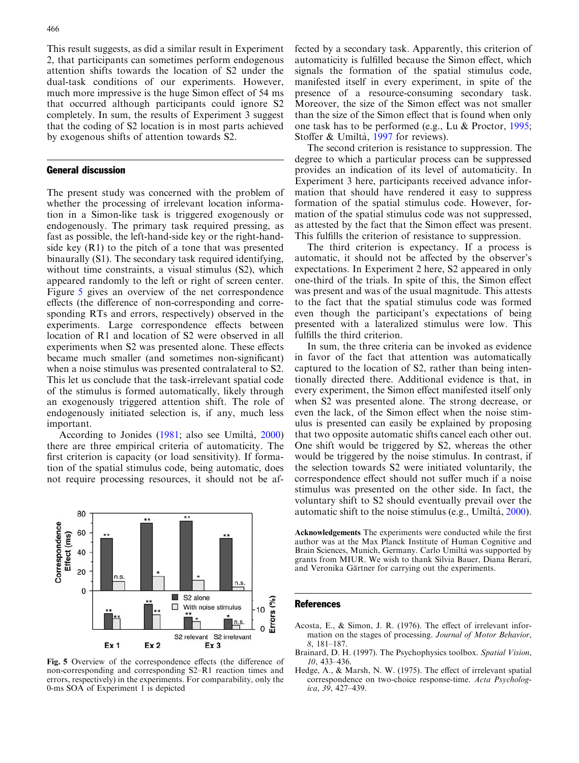<span id="page-7-0"></span>This result suggests, as did a similar result in Experiment 2, that participants can sometimes perform endogenous attention shifts towards the location of S2 under the dual-task conditions of our experiments. However, much more impressive is the huge Simon effect of 54 ms that occurred although participants could ignore S2 completely. In sum, the results of Experiment 3 suggest that the coding of S2 location is in most parts achieved by exogenous shifts of attention towards S2.

## General discussion

The present study was concerned with the problem of whether the processing of irrelevant location information in a Simon-like task is triggered exogenously or endogenously. The primary task required pressing, as fast as possible, the left-hand-side key or the right-handside key (R1) to the pitch of a tone that was presented binaurally (S1). The secondary task required identifying, without time constraints, a visual stimulus (S2), which appeared randomly to the left or right of screen center. Figure 5 gives an overview of the net correspondence effects (the difference of non-corresponding and corresponding RTs and errors, respectively) observed in the experiments. Large correspondence effects between location of R1 and location of S2 were observed in all experiments when S2 was presented alone. These effects became much smaller (and sometimes non-significant) when a noise stimulus was presented contralateral to S2. This let us conclude that the task-irrelevant spatial code of the stimulus is formed automatically, likely through an exogenously triggered attention shift. The role of endogenously initiated selection is, if any, much less important.

According to Jonides [\(1981](#page-8-0); also see Umiltà, [2000\)](#page-8-0) there are three empirical criteria of automaticity. The first criterion is capacity (or load sensitivity). If formation of the spatial stimulus code, being automatic, does not require processing resources, it should not be af-



Fig. 5 Overview of the correspondence effects (the difference of non-corresponding and corresponding S2–R1 reaction times and errors, respectively) in the experiments. For comparability, only the 0-ms SOA of Experiment 1 is depicted

fected by a secondary task. Apparently, this criterion of automaticity is fulfilled because the Simon effect, which signals the formation of the spatial stimulus code, manifested itself in every experiment, in spite of the presence of a resource-consuming secondary task. Moreover, the size of the Simon effect was not smaller than the size of the Simon effect that is found when only one task has to be performed (e.g., Lu & Proctor, [1995](#page-8-0); Stoffer & Umiltà, [1997](#page-8-0) for reviews).

The second criterion is resistance to suppression. The degree to which a particular process can be suppressed provides an indication of its level of automaticity. In Experiment 3 here, participants received advance information that should have rendered it easy to suppress formation of the spatial stimulus code. However, formation of the spatial stimulus code was not suppressed, as attested by the fact that the Simon effect was present. This fulfills the criterion of resistance to suppression.

The third criterion is expectancy. If a process is automatic, it should not be affected by the observer's expectations. In Experiment 2 here, S2 appeared in only one-third of the trials. In spite of this, the Simon effect was present and was of the usual magnitude. This attests to the fact that the spatial stimulus code was formed even though the participant's expectations of being presented with a lateralized stimulus were low. This fulfills the third criterion.

In sum, the three criteria can be invoked as evidence in favor of the fact that attention was automatically captured to the location of S2, rather than being intentionally directed there. Additional evidence is that, in every experiment, the Simon effect manifested itself only when S2 was presented alone. The strong decrease, or even the lack, of the Simon effect when the noise stimulus is presented can easily be explained by proposing that two opposite automatic shifts cancel each other out. One shift would be triggered by S2, whereas the other would be triggered by the noise stimulus. In contrast, if the selection towards S2 were initiated voluntarily, the correspondence effect should not suffer much if a noise stimulus was presented on the other side. In fact, the voluntary shift to S2 should eventually prevail over the automatic shift to the noise stimulus (e.g., Umiltà, [2000\)](#page-8-0).

Acknowledgements The experiments were conducted while the first author was at the Max Planck Institute of Human Cognitive and Brain Sciences, Munich, Germany. Carlo Umiltà was supported by grants from MIUR. We wish to thank Silvia Bauer, Diana Berari, and Veronika Gärtner for carrying out the experiments.

#### References

- Acosta, E., & Simon, J. R. (1976). The effect of irrelevant information on the stages of processing. Journal of Motor Behavior, 8, 181–187.
- Brainard, D. H. (1997). The Psychophysics toolbox. Spatial Vision, 10, 433–436.
- Hedge, A., & Marsh, N. W. (1975). The effect of irrelevant spatial correspondence on two-choice response-time. Acta Psychologica, 39, 427–439.